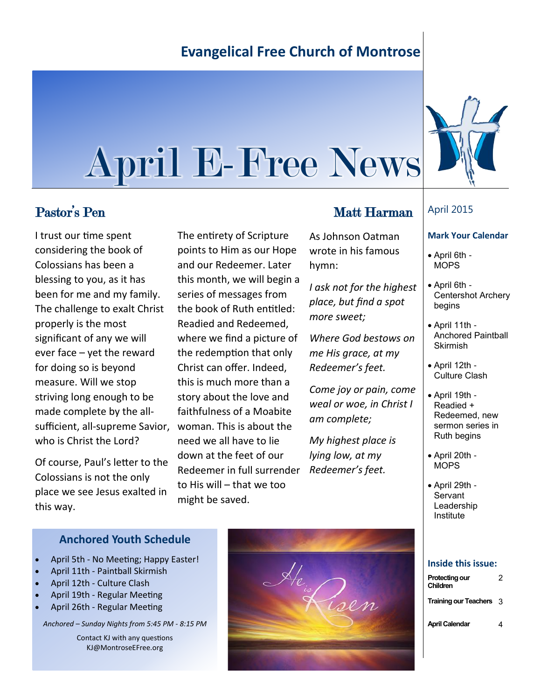# **Evangelical Free Church of Montrose**

# April E-Free News

I trust our time spent considering the book of Colossians has been a blessing to you, as it has been for me and my family. The challenge to exalt Christ properly is the most significant of any we will ever face – yet the reward for doing so is beyond measure. Will we stop striving long enough to be made complete by the allsufficient, all-supreme Savior, who is Christ the Lord?

Of course, Paul's letter to the Colossians is not the only place we see Jesus exalted in this way.

The entirety of Scripture points to Him as our Hope and our Redeemer. Later this month, we will begin a series of messages from the book of Ruth entitled: Readied and Redeemed, where we find a picture of the redemption that only Christ can offer. Indeed, this is much more than a story about the love and faithfulness of a Moabite woman. This is about the need we all have to lie down at the feet of our Redeemer in full surrender to His will – that we too might be saved.

## Pastor's Pen Matt Harman

As Johnson Oatman wrote in his famous hymn:

*I ask not for the highest place, but find a spot more sweet;*

*Where God bestows on me His grace, at my Redeemer's feet.*

*Come joy or pain, come weal or woe, in Christ I am complete;*

*My highest place is lying low, at my Redeemer's feet.*

### April 2015

#### **Mark Your Calendar**

- April 6th MOPS
- April 6th Centershot Archery begins
- April 11th Anchored Paintball Skirmish
- April 12th Culture Clash
- April 19th Readied + Redeemed, new sermon series in Ruth begins
- April 20th **MOPS**
- April 29th **Servant** Leadership Institute

#### **Inside this issue:**

| Protecting our<br>Children | 2 |
|----------------------------|---|
| Training our Teachers 3    |   |
| April Calendar             | 4 |

#### **Anchored Youth Schedule**

- April 5th No Meeting; Happy Easter!
- April 11th Paintball Skirmish
- April 12th Culture Clash
- April 19th Regular Meeting
- April 26th Regular Meeting

*Anchored – Sunday Nights from 5:45 PM - 8:15 PM* 

Contact KJ with any questions KJ@MontroseEFree.org



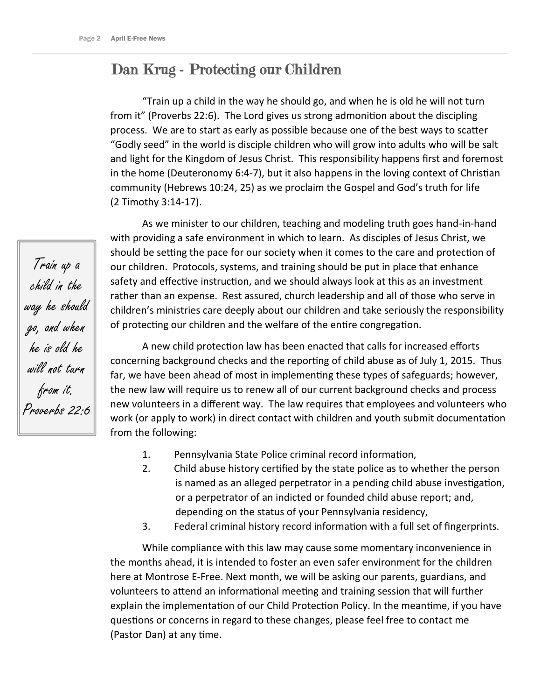# Dan Krug - Protecting our Children

"Train up a child in the way he should go, and when he is old he will not turn from it" (Proverbs 22:6). The Lord gives us strong admonition about the discipling process. We are to start as early as possible because one of the best ways to scatter "Godly seed" in the world is disciple children who will grow into adults who will be salt and light for the Kingdom of Jesus Christ. This responsibility happens first and foremost in the home (Deuteronomy 6:4-7), but it also happens in the loving context of Christian community (Hebrews 10:24, 25) as we proclaim the Gospel and God's truth for life (2 Timothy 3:14-17).

As we minister to our children, teaching and modeling truth goes hand-in-hand with providing a safe environment in which to learn. As disciples of Jesus Christ, we should be setting the pace for our society when it comes to the care and protection of our children. Protocols, systems, and training should be put in place that enhance safety and effective instruction, and we should always look at this as an investment rather than an expense. Rest assured, church leadership and all of those who serve in children's ministries care deeply about our children and take seriously the responsibility of protecting our children and the welfare of the entire congregation.

A new child protection law has been enacted that calls for increased efforts concerning background checks and the reporting of child abuse as of July 1, 2015. Thus far, we have been ahead of most in implementing these types of safeguards; however, the new law will require us to renew all of our current background checks and process new volunteers in a different way. The law requires that employees and volunteers who work (or apply to work) in direct contact with children and youth submit documentation from the following:

- 1. Pennsylvania State Police criminal record information,
- 2. Child abuse history certified by the state police as to whether the person is named as an alleged perpetrator in a pending child abuse investigation, or a perpetrator of an indicted or founded child abuse report; and, depending on the status of your Pennsylvania residency,
- 3. Federal criminal history record information with a full set of fingerprints.

While compliance with this law may cause some momentary inconvenience in the months ahead, it is intended to foster an even safer environment for the children here at Montrose E-Free. Next month, we will be asking our parents, guardians, and volunteers to attend an informational meeting and training session that will further explain the implementation of our Child Protection Policy. In the meantime, if you have questions or concerns in regard to these changes, please feel free to contact me (Pastor Dan) at any time.

Train up a child in the way he should go, and when he is old he will not turn from it. Proverbs 22:6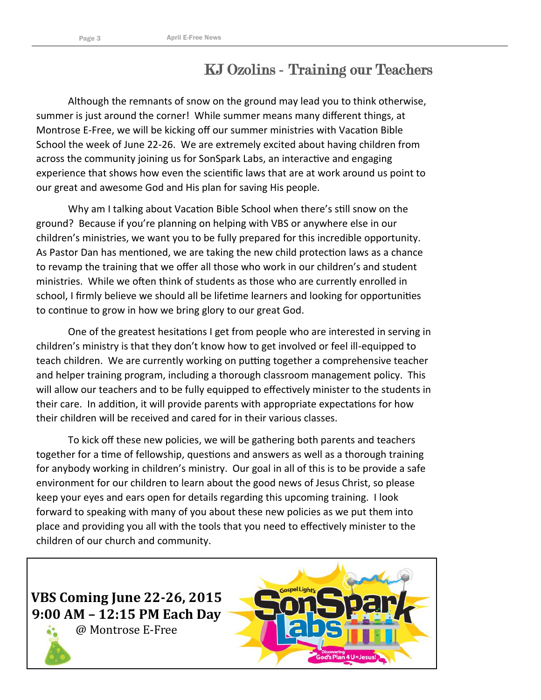# KJ Ozolins - Training our Teachers

Although the remnants of snow on the ground may lead you to think otherwise, summer is just around the corner! While summer means many different things, at Montrose E-Free, we will be kicking off our summer ministries with Vacation Bible School the week of June 22-26. We are extremely excited about having children from across the community joining us for SonSpark Labs, an interactive and engaging experience that shows how even the scientific laws that are at work around us point to our great and awesome God and His plan for saving His people.

Why am I talking about Vacation Bible School when there's still snow on the ground? Because if you're planning on helping with VBS or anywhere else in our children's ministries, we want you to be fully prepared for this incredible opportunity. As Pastor Dan has mentioned, we are taking the new child protection laws as a chance to revamp the training that we offer all those who work in our children's and student ministries. While we often think of students as those who are currently enrolled in school, I firmly believe we should all be lifetime learners and looking for opportunities to continue to grow in how we bring glory to our great God.

One of the greatest hesitations I get from people who are interested in serving in children's ministry is that they don't know how to get involved or feel ill-equipped to teach children. We are currently working on putting together a comprehensive teacher and helper training program, including a thorough classroom management policy. This will allow our teachers and to be fully equipped to effectively minister to the students in their care. In addition, it will provide parents with appropriate expectations for how their children will be received and cared for in their various classes.

To kick off these new policies, we will be gathering both parents and teachers together for a time of fellowship, questions and answers as well as a thorough training for anybody working in children's ministry. Our goal in all of this is to be provide a safe environment for our children to learn about the good news of Jesus Christ, so please keep your eyes and ears open for details regarding this upcoming training. I look forward to speaking with many of you about these new policies as we put them into place and providing you all with the tools that you need to effectively minister to the children of our church and community.

**VBS Coming June 22-26, 2015 9:00 AM – 12:15 PM Each Day**